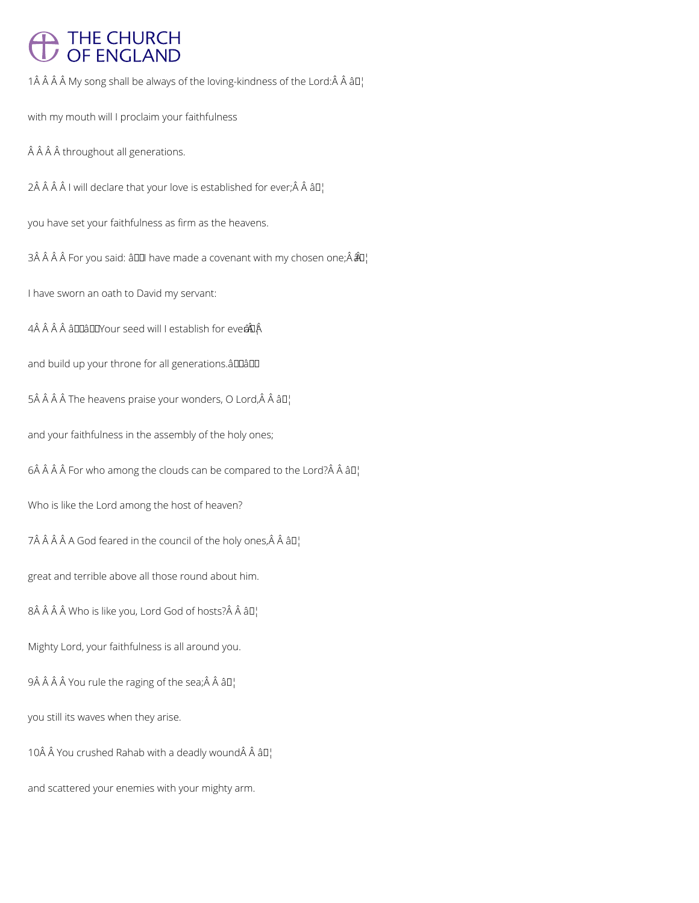## THE CHURCH<br>OF ENGLAND

1 $\hat{A}$   $\hat{A}$   $\hat{A}$   $\hat{A}$  My song shall be always of the loving-kindness of the Lord: $\hat{A}$   $\hat{A}$   $\hat{a}$   $\Box$ 

with my mouth will I proclaim your faithfulness

Â Â Â throughout all generations.

2Â Â Â Â I will declare that your love is established for ever; $\hat{A}$  Â â $\Pi'$ 

you have set your faithfulness as firm as the heavens.

3Â Â Â Â For you said: â00 have made a covenant with my chosen one; $\hat{A}$  $\hat{A}$ <sup> $\parallel$ </sup>

I have sworn an oath to David my servant:

4Â Â Â Â â DDâ DDY our seed will I establish for ever  $\hat{A}$ 

and build up your throne for all generations. a DDADD

 $5\hat{A}$   $\hat{A}$   $\hat{A}$   $\hat{A}$  The heavens praise your wonders, O Lord, $\hat{A}$   $\hat{A}$   $\hat{a}$  $\Box$ 

and your faithfulness in the assembly of the holy ones;

 $6\hat{A}$   $\hat{A}$   $\hat{A}$   $\hat{A}$  For who among the clouds can be compared to the Lord? $\hat{A}$   $\hat{A}$   $\hat{a}$   $\Box$ 

Who is like the Lord among the host of heaven?

7Â Â Â Â A God feared in the council of the holy ones, Â Â â  $\Pi_1$ 

great and terrible above all those round about him.

8 Who is like you, Lord God of hosts? Â â D¦

Mighty Lord, your faithfulness is all around you.

 $9\hat{A}$   $\hat{A}$   $\hat{A}$   $\hat{A}$  You rule the raging of the sea; $\hat{A}$   $\hat{A}$   $\hat{a}$  $\Box$ 

you still its waves when they arise.

10 $\hat{A}$   $\hat{A}$  You crushed Rahab with a deadly wound $\hat{A}$   $\hat{A}$   $\hat{a}$   $\Box$ 

and scattered your enemies with your mighty arm.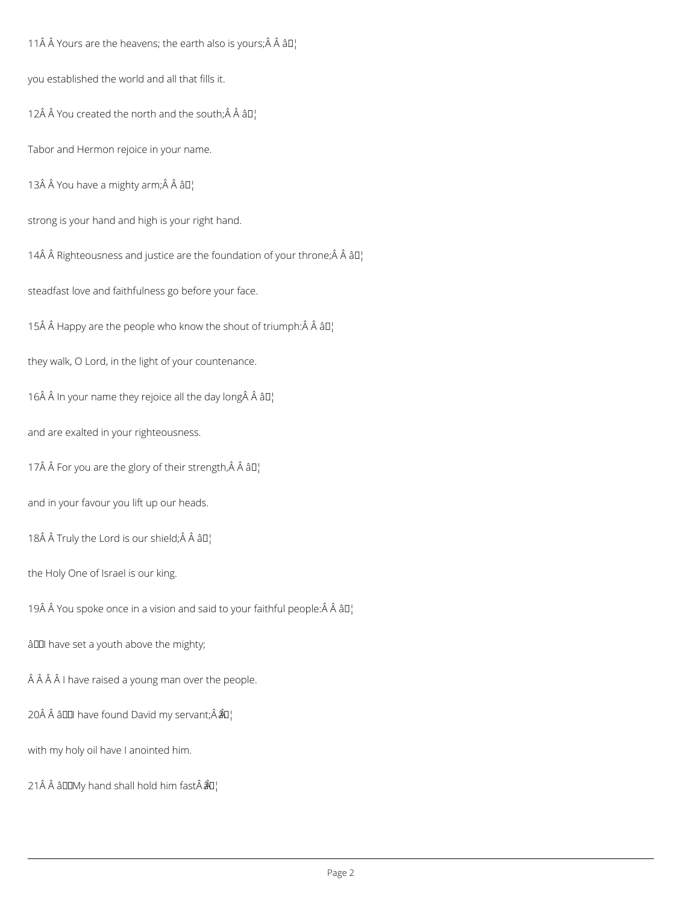11 $\hat{A}$   $\hat{A}$  Yours are the heavens; the earth also is yours;  $\hat{A}$   $\hat{A}$   $\hat{a}$  $\Gamma$ 

you established the world and all that fills it.

12Â Â You created the north and the south; $\hat{A}$  Â â $\Pi'$ 

Tabor and Hermon rejoice in your name.

13Â Â You have a mighty arm;Â Â â D¦

strong is your hand and high is your right hand.

14 $\hat{A}$   $\hat{A}$  Righteousness and justice are the foundation of your throne; $\hat{A}$   $\hat{A}$   $\hat{a}$   $\Box$ 

steadfast love and faithfulness go before your face.

15 $\hat{A}$   $\hat{A}$  Happy are the people who know the shout of triumph: $\hat{A}$   $\hat{A}$   $\hat{a}$  $\Box$ 

they walk, O Lord, in the light of your countenance.

16 $\hat{A}$   $\hat{A}$  In your name they rejoice all the day long $\hat{A}$   $\hat{A}$   $\hat{a}$   $\Box$ 

and are exalted in your righteousness.

17 $\hat{A}$   $\hat{A}$  For you are the glory of their strength, $\hat{A}$   $\hat{A}$   $\hat{a}$   $\Box$ 

and in your favour you lift up our heads.

18Â Â Truly the Lord is our shield; Â Â â $\mathbb{I}^1$ 

the Holy One of Israel is our king.

19 $\hat{A}$   $\hat{A}$  You spoke once in a vision and said to your faithful people: $\hat{A}$  $\hat{A}$  $\hat{a}$  $I$ 

â<br />
andle have set a youth above the mighty;

Â Â Î l have raised a young man over the people.

20Â Â â III have found David my servant;Â â I¦

with my holy oil have I anointed him.

21 Â Â â $\Box$  DMy hand shall hold him fast  $\hat{a}$   $\Box$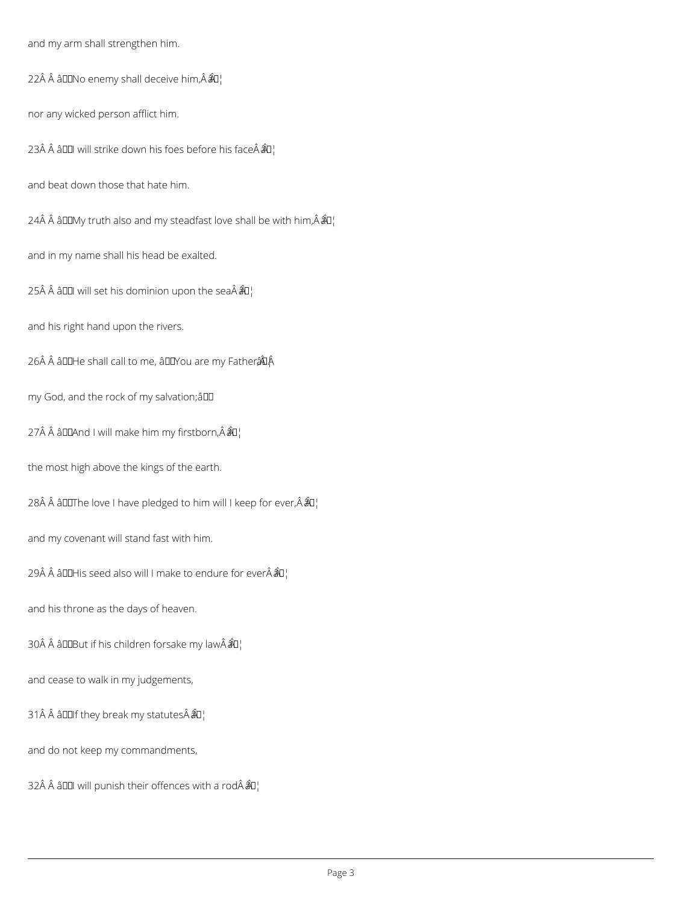and my arm shall strengthen him.

22Â Â â $\square$ No enemy shall deceive him, Â $\hat{a}$ u¦

nor any wicked person afflict him.

23Å  $\hat{A}$  â $\Box$  will strike down his foes before his face $\hat{A}$  $\hat{A}$  $\Box$ 

and beat down those that hate him.

24 $\hat{A}$   $\hat{A}$   $\hat{a}$   $\square$  My truth also and my steadfast love shall be with him,  $\hat{A}$  $\hat{a}$  $\square$ 

and in my name shall his head be exalted.

25Å  $\hat{A}$  âDDI will set his dominion upon the sea $\hat{A}$  $\hat{A}$  $I$ <sub>i</sub>

and his right hand upon the rivers.

26Â Â âDDHe shall call to me, âDDYou are my Father  $\hat{a}$ DÂ

my God, and the rock of my salvation;â

27Â Â âDDAnd I will make him my firstborn, Â ÂD¦

the most high above the kings of the earth.

28 Â Â â DUThe love I have pledged to him will I keep for ever,  $\hat{A}$  $\hat{a}$ U<sub>i</sub>

and my covenant will stand fast with him.

29 $\hat{A}$   $\hat{A}$  and His seed also will I make to endure for ever $\hat{A}$  $\hat{A}$ u'

and his throne as the days of heaven.

30 â DDBut if his children forsake my law  $\hat{a}$ U'

and cease to walk in my judgements,

31 Â Â â D I f they break my statutes  $\hat{A}$  $\hat{B}$ 

and do not keep my commandments,

32Â Â â $\Box$  will punish their offences with a rodÂ $\hat{a}$  $\Box$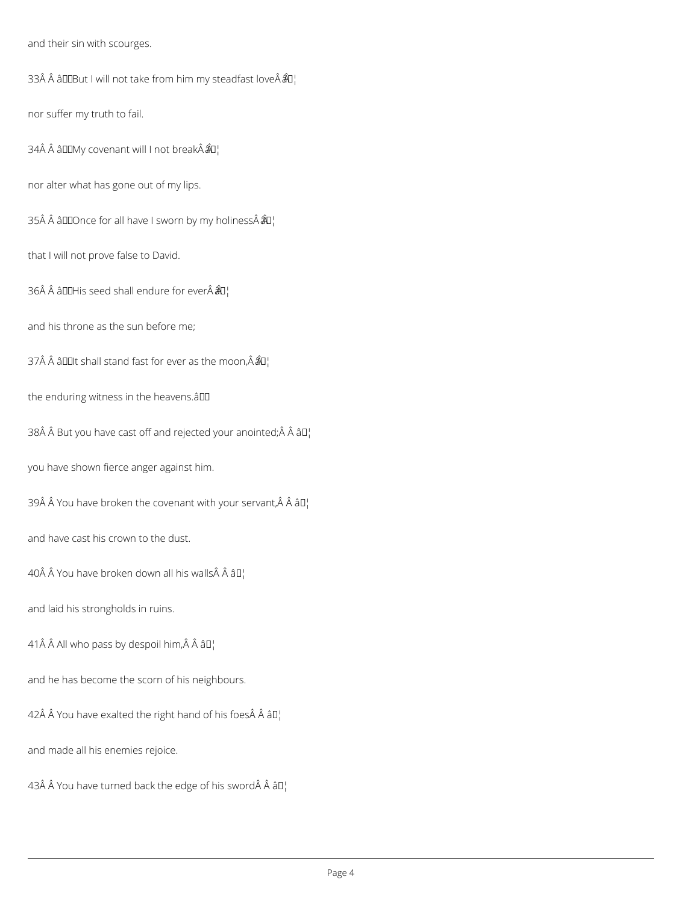and their sin with scourges.

33 âDDBut I will not take from him my steadfast love  $\hat{a}$ O¦

nor suffer my truth to fail.

34 âDDMy covenant will I not break  $\hat{a}$ u¦

nor alter what has gone out of my lips.

35 âDDOnce for all have I sworn by my holiness  $\hat{a}$ D¦

that I will not prove false to David.

36 $\hat{A}$   $\hat{A}$  allehis seed shall endure for ever $\hat{A}$  $\hat{A}$ l

and his throne as the sun before me;

37 $\hat{A}$   $\hat{A}$  allest and fast for ever as the moon,  $\hat{A}$  $\hat{A}$  $I$ <sub>i</sub>

the enduring witness in the heavens.aDD

38Â Â But you have cast off and rejected your anointed;Â Â âD¦

you have shown fierce anger against him.

39 $\hat{A}$  Å You have broken the covenant with your servant, $\hat{A}$   $\hat{A}$   $\hat{a}$   $\Gamma$ 

and have cast his crown to the dust.

40 $\hat{A}$   $\hat{A}$  You have broken down all his walls $\hat{A}$   $\hat{A}$   $\hat{a}$   $\Box$ 

and laid his strongholds in ruins.

41 $\hat{A}$   $\hat{A}$  All who pass by despoil him, $\hat{A}$   $\hat{A}$   $\hat{a}$ D<sub>1</sub>

and he has become the scorn of his neighbours.

42 $\hat{A}$   $\hat{A}$  You have exalted the right hand of his foes $\hat{A}$   $\hat{A}$   $\hat{a}$   $\Box$ 

and made all his enemies rejoice.

43Å  $\hat{A}$  You have turned back the edge of his sword $\hat{A}$   $\hat{A}$   $\hat{a}$   $\Box$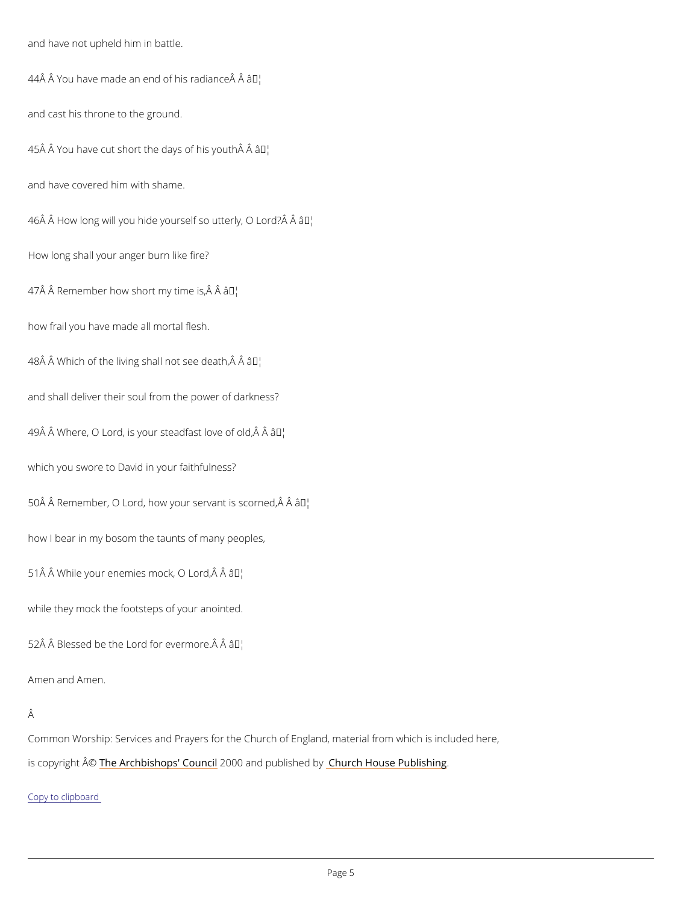and have not upheld him in battle.

44 $\hat A$   $\hat A$   $\,$  You have made an end o $\tilde a$  This radiance  $\hat A$   $\hat A$ 

and cast his throne to the ground.

 $45 \hat{A}$  Å You have cut short the day<sup>ry</sup> of his youth  $\hat{A}$   $\hat{A}$ 

and have covered him with shame.

 $46$  $\hat{A}$  How long will you hide yourself sâo $^{TM}$ uitterly, O Lord? $\hat{A}$   $\hat{A}$ 

How long shall your anger burn like fire?

 $47$   $\hat{A}$   $\hat{A}$   $R$  emember how short  $\hat{a}$ m<sup>ty</sup>; time is,  $\hat{A}$   $\hat{A}$ 

how frail you have made all mortal flesh.

48 $\hat{A}$  Å Which of the living shall  $\hat{A}$   $\hat{M}$  and  $\hat{B}$   $\hat{A}$  and  $\hat{A}$ 

and shall deliver their soul from the power of darkness?

 $49$  $\AA$   $\AA$  Where, O Lord, is your stea $\hat{a}$ d $\hat{b}$  and thove of old,  $\hat{A}$   $\hat{A}$ 

which you swore to David in your faithfulness?

50 Å Å Remember, O Lord, how your sarvant is scorned, Â Å

how I bear in my bosom the taunts of many peoples,

51 Â Â While your enemies mad Mk, O Lord, Â Â

while they mock the footsteps of your anointed.

 $52 \text{\AA}$   $\text{\AA}$  Blessed be the Lord for FM evermore.  $\text{\AA}$   $\text{\AA}$ 

Amen and Amen.

Â

Common Worship: Services and Prayers for the Church of England, material from which is inc

is copyrighth  $\hat{\mathbb{A}}$  @Archbishops' 2000 Qun and publish head roby House Publishing

Copy to clipboard